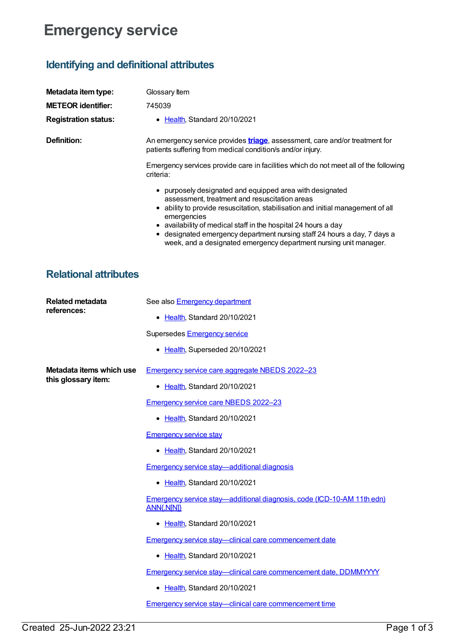# **Emergency service**

## **Identifying and definitional attributes**

| Metadata item type:         | Glossary Item                                                                                                                                                                                                                                                                                                                                                                                                              |
|-----------------------------|----------------------------------------------------------------------------------------------------------------------------------------------------------------------------------------------------------------------------------------------------------------------------------------------------------------------------------------------------------------------------------------------------------------------------|
| <b>METEOR identifier:</b>   | 745039                                                                                                                                                                                                                                                                                                                                                                                                                     |
| <b>Registration status:</b> | • Health Standard 20/10/2021                                                                                                                                                                                                                                                                                                                                                                                               |
| Definition:                 | An emergency service provides <b>triage</b> , assessment, care and/or treatment for<br>patients suffering from medical condition/s and/or injury.                                                                                                                                                                                                                                                                          |
|                             | Emergency services provide care in facilities which do not meet all of the following<br>criteria:                                                                                                                                                                                                                                                                                                                          |
|                             | purposely designated and equipped area with designated<br>assessment, treatment and resuscitation areas<br>ability to provide resuscitation, stabilisation and initial management of all<br>emergencies<br>• availability of medical staff in the hospital 24 hours a day<br>• designated emergency department nursing staff 24 hours a day, 7 days a<br>week, and a designated emergency department nursing unit manager. |

### **Relational attributes**

| <b>Related metadata</b><br>references:          | See also <b>Emergency department</b>                                                        |
|-------------------------------------------------|---------------------------------------------------------------------------------------------|
|                                                 | • Health, Standard 20/10/2021                                                               |
|                                                 | Supersedes Emergency service                                                                |
|                                                 | • Health, Superseded 20/10/2021                                                             |
| Metadata items which use<br>this glossary item: | Emergency service care aggregate NBEDS 2022-23                                              |
|                                                 | • Health, Standard 20/10/2021                                                               |
|                                                 | <b>Emergency service care NBEDS 2022-23</b>                                                 |
|                                                 | • Health, Standard 20/10/2021                                                               |
|                                                 | <b>Emergency service stay</b>                                                               |
|                                                 | • Health, Standard 20/10/2021                                                               |
|                                                 | <b>Emergency service stay—additional diagnosis</b>                                          |
|                                                 | • Health, Standard 20/10/2021                                                               |
|                                                 | Emergency service stay—additional diagnosis, code (ICD-10-AM 11th edn)<br><b>ANN{.N[N]}</b> |
|                                                 | • Health, Standard 20/10/2021                                                               |
|                                                 | Emergency service stay-clinical care commencement date                                      |
|                                                 | • Health, Standard 20/10/2021                                                               |
|                                                 | Emergency service stay-clinical care commencement date, DDMMYYYY                            |
|                                                 | • Health, Standard 20/10/2021                                                               |
|                                                 | <b>Emergency service stay—clinical care commencement time</b>                               |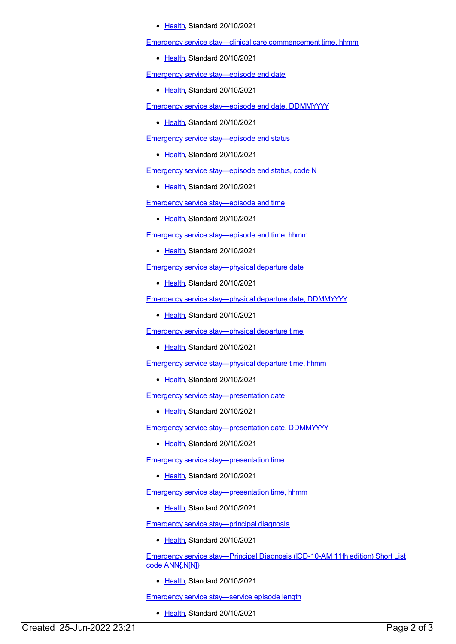#### [Health](https://meteor.aihw.gov.au/RegistrationAuthority/12), Standard 20/10/2021

Emergency service stay—clinical care [commencement](https://meteor.aihw.gov.au/content/745748) time, hhmm

• [Health](https://meteor.aihw.gov.au/RegistrationAuthority/12), Standard 20/10/2021

Emergency service [stay—episode](https://meteor.aihw.gov.au/content/745753) end date

• [Health](https://meteor.aihw.gov.au/RegistrationAuthority/12), Standard 20/10/2021

Emergency service [stay—episode](https://meteor.aihw.gov.au/content/745755) end date, DDMMYYYY

• [Health](https://meteor.aihw.gov.au/RegistrationAuthority/12), Standard 20/10/2021

Emergency service [stay—episode](https://meteor.aihw.gov.au/content/745260) end status

• [Health](https://meteor.aihw.gov.au/RegistrationAuthority/12), Standard 20/10/2021

Emergency service [stay—episode](https://meteor.aihw.gov.au/content/745050) end status, code N

• [Health](https://meteor.aihw.gov.au/RegistrationAuthority/12), Standard 20/10/2021

Emergency service [stay—episode](https://meteor.aihw.gov.au/content/745765) end time

• [Health](https://meteor.aihw.gov.au/RegistrationAuthority/12), Standard 20/10/2021

Emergency service [stay—episode](https://meteor.aihw.gov.au/content/745767) end time, hhmm

• [Health](https://meteor.aihw.gov.au/RegistrationAuthority/12), Standard 20/10/2021

Emergency service [stay—physical](https://meteor.aihw.gov.au/content/745277) departure date

[Health](https://meteor.aihw.gov.au/RegistrationAuthority/12), Standard 20/10/2021

Emergency service stay--physical departure date, DDMMYYYY

• [Health](https://meteor.aihw.gov.au/RegistrationAuthority/12), Standard 20/10/2021

Emergency service [stay—physical](https://meteor.aihw.gov.au/content/745714) departure time

• [Health](https://meteor.aihw.gov.au/RegistrationAuthority/12), Standard 20/10/2021

Emergency service [stay—physical](https://meteor.aihw.gov.au/content/745717) departure time, hhmm

• [Health](https://meteor.aihw.gov.au/RegistrationAuthority/12), Standard 20/10/2021

Emergency service [stay—presentation](https://meteor.aihw.gov.au/content/745722) date

Ealth, Standard 20/10/2021

Emergency service [stay—presentation](https://meteor.aihw.gov.au/content/745724) date, DDMMYYYY

Ealth, Standard 20/10/2021

Emergency service [stay—presentation](https://meteor.aihw.gov.au/content/745727) time

• [Health](https://meteor.aihw.gov.au/RegistrationAuthority/12), Standard 20/10/2021

Emergency service [stay—presentation](https://meteor.aihw.gov.au/content/745730) time, hhmm

• [Health](https://meteor.aihw.gov.au/RegistrationAuthority/12), Standard 20/10/2021

Emergency service [stay—principal](https://meteor.aihw.gov.au/content/745854) diagnosis

• [Health](https://meteor.aihw.gov.au/RegistrationAuthority/12), Standard 20/10/2021

Emergency service [stay—Principal](https://meteor.aihw.gov.au/content/745856) Diagnosis (ICD-10-AM 11th edition) Short List code ANN{.N[N]}

Ealth, Standard 20/10/2021

Emergency service [stay—service](https://meteor.aihw.gov.au/content/745770) episode length

• [Health](https://meteor.aihw.gov.au/RegistrationAuthority/12), Standard 20/10/2021